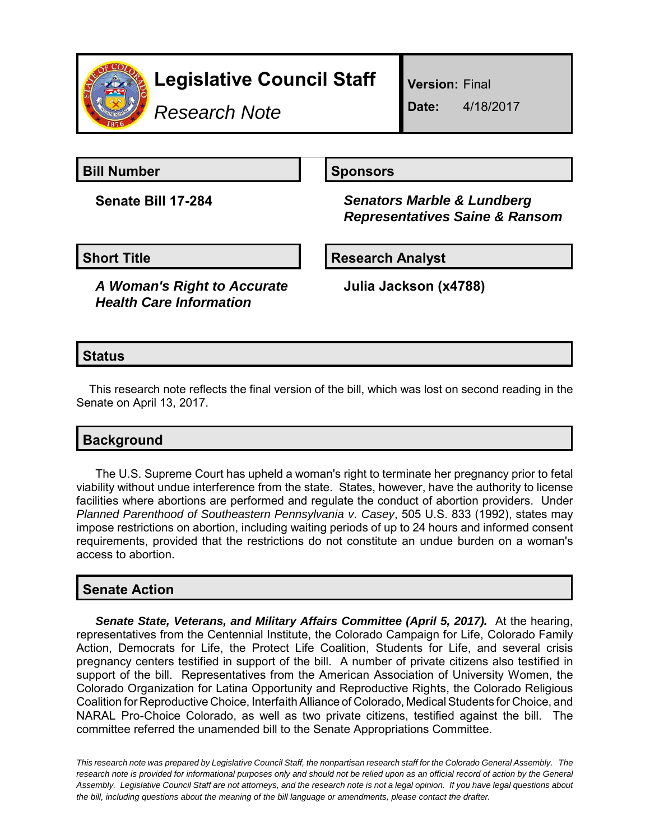

## **Legislative Council Staff**

*Research Note*

**Version:** Final

**Date:** 4/18/2017

**Bill Number Sponsors** 

**Senate Bill 17-284** *Senators Marble & Lundberg Representatives Saine & Ransom*

**Short Title Community Community Community Research Analyst** 

*A Woman's Right to Accurate Health Care Information*

**Julia Jackson (x4788)**

## **Status**

This research note reflects the final version of the bill, which was lost on second reading in the Senate on April 13, 2017.

## **Background**

The U.S. Supreme Court has upheld a woman's right to terminate her pregnancy prior to fetal viability without undue interference from the state. States, however, have the authority to license facilities where abortions are performed and regulate the conduct of abortion providers. Under *Planned Parenthood of Southeastern Pennsylvania v. Casey*, 505 U.S. 833 (1992), states may impose restrictions on abortion, including waiting periods of up to 24 hours and informed consent requirements, provided that the restrictions do not constitute an undue burden on a woman's access to abortion.

## **Senate Action**

*Senate State, Veterans, and Military Affairs Committee (April 5, 2017).* At the hearing, representatives from the Centennial Institute, the Colorado Campaign for Life, Colorado Family Action, Democrats for Life, the Protect Life Coalition, Students for Life, and several crisis pregnancy centers testified in support of the bill. A number of private citizens also testified in support of the bill. Representatives from the American Association of University Women, the Colorado Organization for Latina Opportunity and Reproductive Rights, the Colorado Religious Coalition for Reproductive Choice, Interfaith Alliance of Colorado, Medical Students for Choice, and NARAL Pro-Choice Colorado, as well as two private citizens, testified against the bill. The committee referred the unamended bill to the Senate Appropriations Committee.

*This research note was prepared by Legislative Council Staff, the nonpartisan research staff for the Colorado General Assembly. The research note is provided for informational purposes only and should not be relied upon as an official record of action by the General Assembly. Legislative Council Staff are not attorneys, and the research note is not a legal opinion. If you have legal questions about the bill, including questions about the meaning of the bill language or amendments, please contact the drafter.*